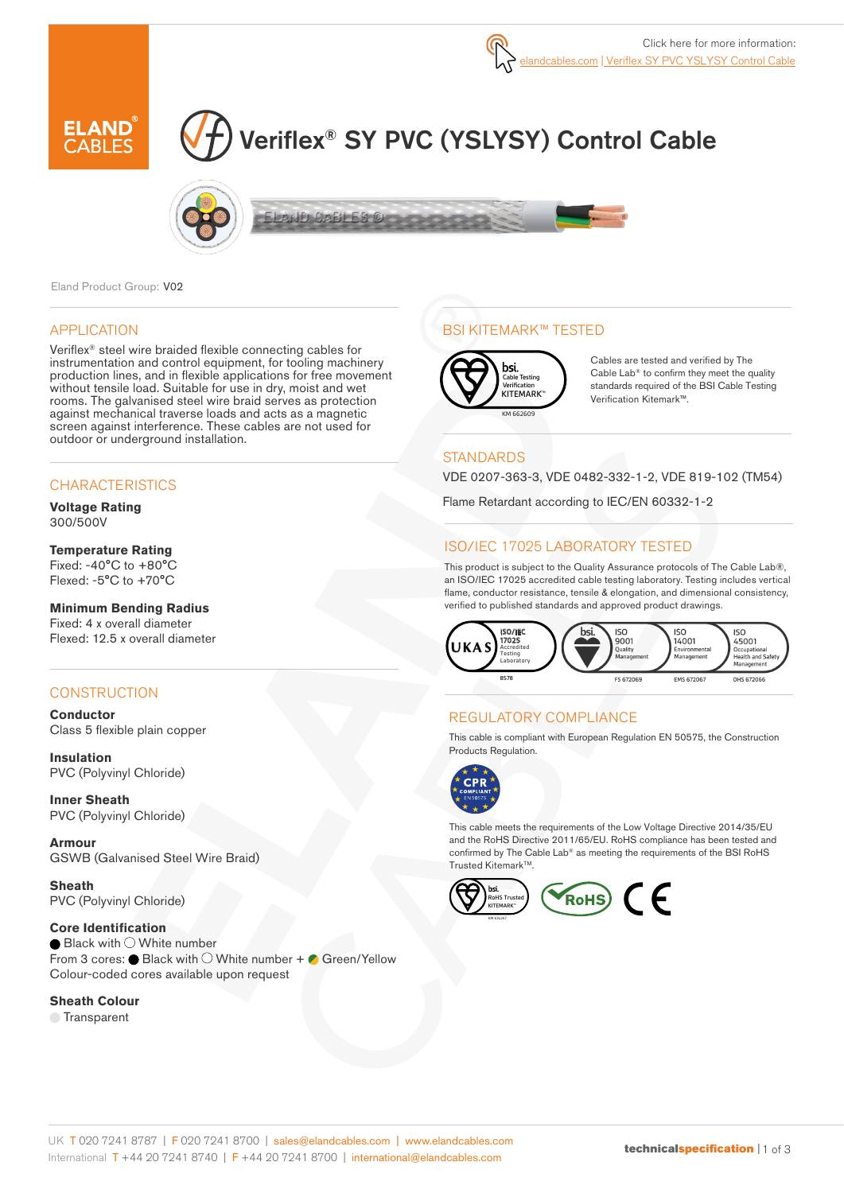

# Veriflex® SY PVC (YSLYSY) Control Cable



Eland Product Group: V02

### APPLICATION

Veriflex® steel wire braided flexible connecting cables for instrumentation and control equipment, for tooling machinery production lines, and in flexible applications for free movement without tensile load. Suitable for use in dry, moist and wet rooms. The galvanised steel wire braid serves as protection against mechanical traverse loads and acts as a magnetic screen against interference. These cables are not used for outdoor or underground installation.

### **CHARACTERISTICS**

**Voltage Rating**  300/500V

#### **Temperature Rating**

Fixed: -40°C to +80°C Flexed: -5°C to +70°C

### **Minimum Bending Radius**

Fixed: 4 x overall diameter Flexed: 12.5 x overall diameter

## **CONSTRUCTION**

**Conductor** Class 5 flexible plain copper

**Insulation** PVC (Polyvinyl Chloride)

**Inner Sheath** PVC (Polyvinyl Chloride)

**Armour** GSWB (Galvanised Steel Wire Braid)

**Sheath** PVC (Polyvinyl Chloride)

**Core Identification**  $\bigcirc$  Black with  $\bigcirc$  White number From 3 cores:  $\bullet$  Black with  $\circlearrowright$  White number +  $\bullet$  Green/Yellow Colour-coded cores available upon request

#### **Sheath Colour**

**■**Transparent

## BSI KITEMARK™ TESTED



Cables are tested and verified by The Cable Lab® to confirm they meet the quality standards required of the BSI Cable Testing Verification Kitemark™.

## **STANDARDS**

VDE 0207-363-3, VDE 0482-332-1-2, VDE 819-102 (TM54)

Flame Retardant according to IEC/EN 60332-1-2

## ISO/IEC 17025 LABORATORY TESTED

This product is subject to the Quality Assurance protocols of The Cable Lab®, an ISO/IEC 17025 accredited cable testing laboratory. Testing includes vertical flame, conductor resistance, tensile & elongation, and dimensional consistency, verified to published standards and approved product drawings.



## REGULATORY COMPLIANCE

This cable is compliant with European Regulation EN 50575, the Construction Products Regulation.



This cable meets the requirements of the Low Voltage Directive 2014/35/EU and the RoHS Directive 2011/65/EU. RoHS compliance has been tested and confirmed by The Cable Lab® as meeting the requirements of the BSI RoHS Trusted KitemarkTM.

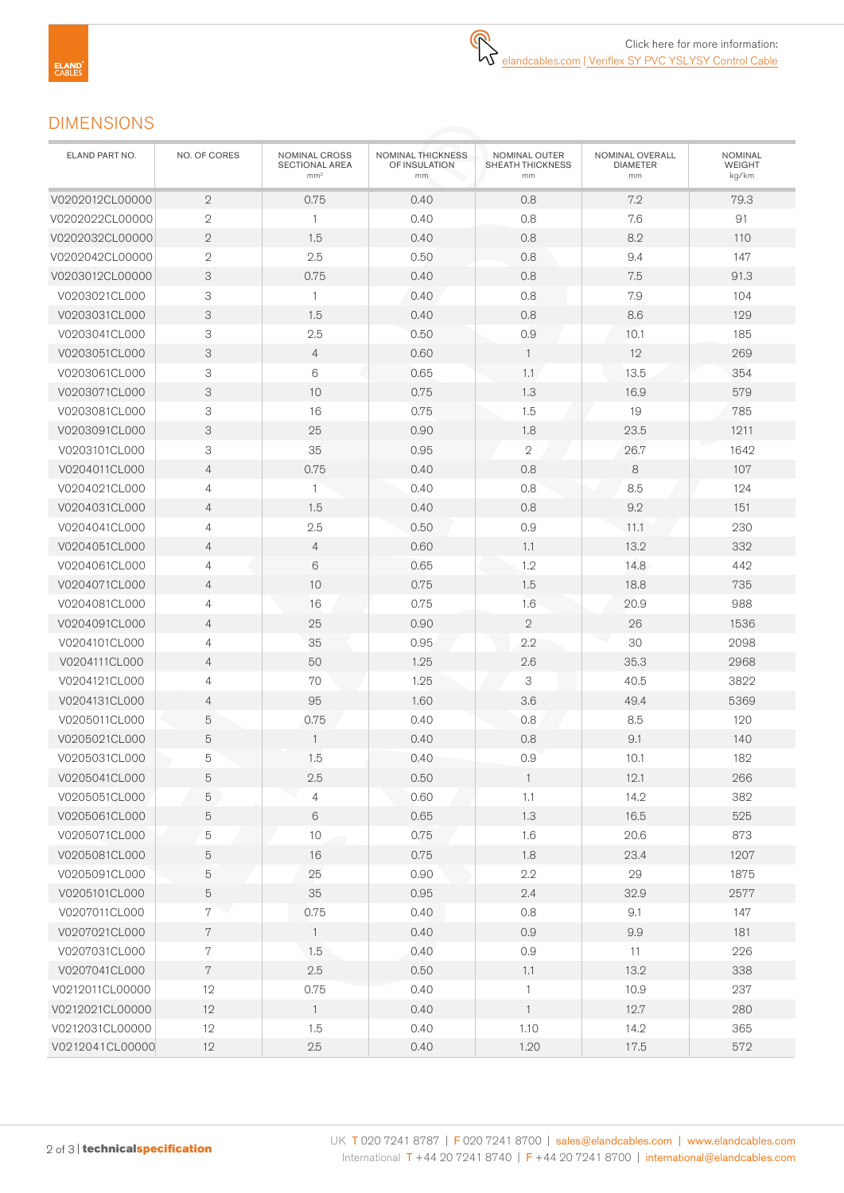## DIMENSIONS

| ELAND PART NO.  | NO. OF CORES   | NOMINAL CROSS<br>SECTIONAL AREA<br>mm <sup>2</sup> | NOMINAL THICKNESS<br>OF INSULATION<br>mm | NOMINAL OUTER<br>SHEATH THICKNESS<br>mm | NOMINAL OVERALL<br><b>DIAMETER</b><br>mm | <b>NOMINAL</b><br>WEIGHT<br>kg/km |
|-----------------|----------------|----------------------------------------------------|------------------------------------------|-----------------------------------------|------------------------------------------|-----------------------------------|
| V0202012CL00000 | $\overline{2}$ | 0.75                                               | 0.40                                     | 0.8                                     | 7.2                                      | 79.3                              |
| V0202022CL00000 | $\overline{2}$ | $\mathbf{1}$                                       | 0.40                                     | 0.8                                     | 7.6                                      | 91                                |
| V0202032CL00000 | $\mathbf 2$    | 1.5                                                | 0.40                                     | 0.8                                     | 8.2                                      | 110                               |
| V0202042CL00000 | $\mathbf 2$    | 2.5                                                | 0.50                                     | 0.8                                     | 9.4                                      | 147                               |
| V0203012CL00000 | 3              | 0.75                                               | 0.40                                     | 0.8                                     | 7.5                                      | 91.3                              |
| V0203021CL000   | 3              | $\mathbf{1}$                                       | 0.40                                     | 0.8                                     | 7.9                                      | 104                               |
| V0203031CL000   | 3              | 1.5                                                | 0.40                                     | 0.8                                     | 8.6                                      | 129                               |
| V0203041CL000   | 3              | 2.5                                                | 0.50                                     | 0.9                                     | 10.1                                     | 185                               |
| V0203051CL000   | 3              | $\overline{4}$                                     | 0.60                                     | $\mathbf{1}$                            | 12                                       | 269                               |
| V0203061CL000   | 3              | 6                                                  | 0.65                                     | 1.1                                     | 13.5                                     | 354                               |
| V0203071CL000   | 3              | 10                                                 | 0.75                                     | 1.3                                     | 16.9                                     | 579                               |
| V0203081CL000   | 3              | 16                                                 | 0.75                                     | 1.5                                     | 19                                       | 785                               |
| V0203091CL000   | 3              | 25                                                 | 0.90                                     | 1.8                                     | 23.5                                     | 1211                              |
| V0203101CL000   | 3              | 35                                                 | 0.95                                     | $\mathbf{2}$                            | 26.7                                     | 1642                              |
| V0204011CL000   | $\overline{4}$ | 0.75                                               | 0.40                                     | 0.8                                     | 8                                        | 107                               |
| V0204021CL000   | 4              | 1                                                  | 0.40                                     | 0.8                                     | 8.5                                      | 124                               |
| V0204031CL000   | $\overline{4}$ | 1.5                                                | 0.40                                     | 0.8                                     | 9.2                                      | 151                               |
| V0204041CL000   | 4              | 2.5                                                | 0.50                                     | 0.9                                     | 11.1                                     | 230                               |
| V0204051CL000   | $\overline{4}$ | $\overline{4}$                                     | 0.60                                     | 1.1                                     | 13.2                                     | 332                               |
| V0204061CL000   | 4              | 6                                                  | 0.65                                     | 1.2                                     | 14.8                                     | 442                               |
| V0204071CL000   | $\overline{4}$ | 10                                                 | 0.75                                     | 1.5                                     | 18.8                                     | 735                               |
| V0204081CL000   | 4              | 16                                                 | 0.75                                     | 1.6                                     | 20.9                                     | 988                               |
| V0204091CL000   | $\overline{4}$ | 25                                                 | 0.90                                     | $\mathbf{2}$                            | 26                                       | 1536                              |
| V0204101CL000   | 4              | 35                                                 | 0.95                                     | 2.2                                     | 30                                       | 2098                              |
| V0204111CL000   | $\overline{4}$ | 50                                                 | 1.25                                     | 2.6                                     | 35.3                                     | 2968                              |
| V0204121CL000   | 4              | 70                                                 | 1.25                                     | 3                                       | 40.5                                     | 3822                              |
| V0204131CL000   | $\overline{4}$ | 95                                                 | 1.60                                     | 3.6                                     | 49.4                                     | 5369                              |
| V0205011CL000   | 5              | 0.75                                               | 0.40                                     | 0.8                                     | 8.5                                      | 120                               |
| V0205021CL000   | 5              | $\mathbf{1}$                                       | 0.40                                     | 0.8                                     | 9.1                                      | 140                               |
| V0205031CL000   | 5              | 1.5                                                | 0.40                                     | 0.9                                     | 10.1                                     | 182                               |
| V0205041CL000   | 5              | 2.5                                                | 0.50                                     | $\mathbf{1}$                            | 12.1                                     | 266                               |
| V0205051CL000   | 5              | 4                                                  | 0.60                                     | 1.1                                     | 14.2                                     | 382                               |
| V0205061CL000   | 5              | $\,6\,$                                            | 0.65                                     | 1.3                                     | 16.5                                     | 525                               |
| V0205071CL000   | 5              | $10$                                               | 0.75                                     | 1.6                                     | 20.6                                     | 873                               |
| V0205081CL000   | $\mathbf 5$    | 16                                                 | 0.75                                     | 1.8                                     | 23.4                                     | 1207                              |
| V0205091CL000   | $\mathbf 5$    | 25                                                 | 0.90                                     | 2.2                                     | 29                                       | 1875                              |
| V0205101CL000   | 5              | 35                                                 | 0.95                                     | 2.4                                     | 32.9                                     | 2577                              |
| V0207011CL000   | 7              | 0.75                                               | 0.40                                     | 0.8                                     | 9.1                                      | 147                               |
| V0207021CL000   | 7              | $\mathbf{1}$                                       | 0.40                                     | 0.9                                     | 9.9                                      | 181                               |
| V0207031CL000   | 7              | 1.5                                                | 0.40                                     | 0.9                                     | 11                                       | 226                               |
| V0207041CL000   | $7\phantom{.}$ | $2.5\,$                                            | 0.50                                     | $1.1\,$                                 | 13.2                                     | 338                               |
| V0212011CL00000 | 12             | 0.75                                               | 0.40                                     | $\mathbf{1}$                            | 10.9                                     | 237                               |
| V0212021CL00000 | 12             | $\overline{1}$                                     | 0.40                                     | $\mathbf{1}$                            | 12.7                                     | 280                               |
| V0212031CL00000 | 12             | 1.5                                                | 0.40                                     | 1.10                                    | 14.2                                     | 365                               |
| V0212041CL00000 | 12             | $2.5\,$                                            | 0.40                                     | 1.20                                    | 17.5                                     | 572                               |